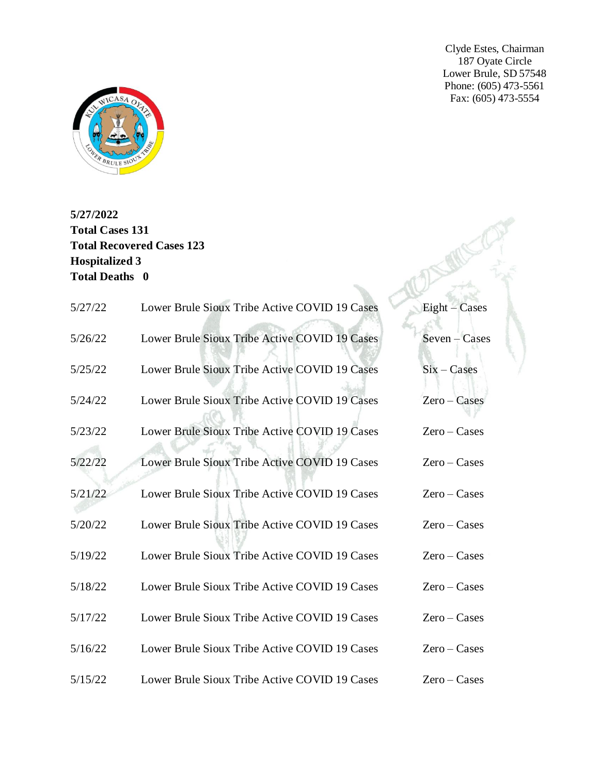Clyde Estes, Chairman 187 Oyate Circle Lower Brule, SD 57548 Phone: (605) 473-5561 Fax: (605) 473-5554



**5/27/2022 Total Cases 131 Total Recovered Cases 123 Hospitalized 3 Total Deaths 0**

| 5/27/22 | Lower Brule Sioux Tribe Active COVID 19 Cases | Eight - Cases    |
|---------|-----------------------------------------------|------------------|
| 5/26/22 | Lower Brule Sioux Tribe Active COVID 19 Cases | $S$ even – Cases |
| 5/25/22 | Lower Brule Sioux Tribe Active COVID 19 Cases | $Six - Cases$    |
| 5/24/22 | Lower Brule Sioux Tribe Active COVID 19 Cases | $Zero - Cases$   |
| 5/23/22 | Lower Brule Sioux Tribe Active COVID 19 Cases | $Zero - Cases$   |
| 5/22/22 | Lower Brule Sioux Tribe Active COVID 19 Cases | $Zero - Cases$   |
| 5/21/22 | Lower Brule Sioux Tribe Active COVID 19 Cases | $Zero - Cases$   |
| 5/20/22 | Lower Brule Sioux Tribe Active COVID 19 Cases | $Zero - Cases$   |
| 5/19/22 | Lower Brule Sioux Tribe Active COVID 19 Cases | $Zero - Cases$   |
| 5/18/22 | Lower Brule Sioux Tribe Active COVID 19 Cases | $Zero - Cases$   |
| 5/17/22 | Lower Brule Sioux Tribe Active COVID 19 Cases | $Zero - Cases$   |
| 5/16/22 | Lower Brule Sioux Tribe Active COVID 19 Cases | $Zero - Cases$   |
| 5/15/22 | Lower Brule Sioux Tribe Active COVID 19 Cases | $Zero - Cases$   |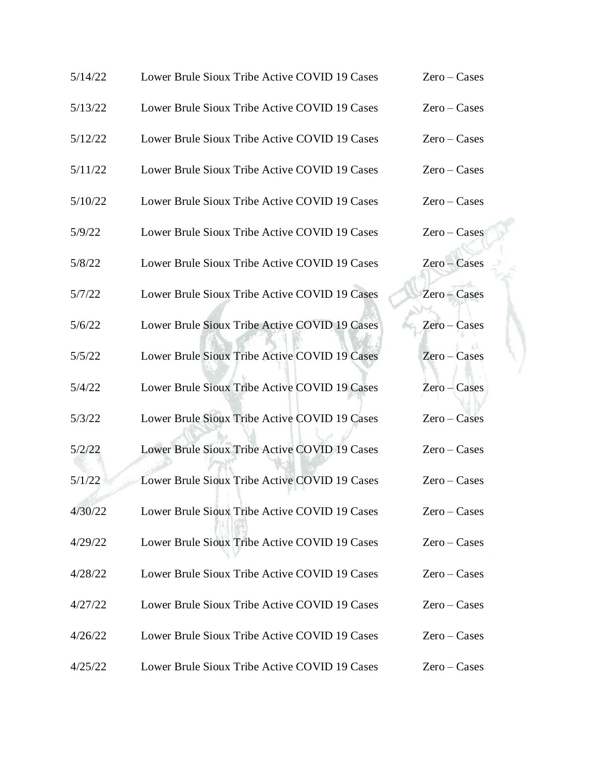| 5/14/22 | Lower Brule Sioux Tribe Active COVID 19 Cases | $Zero - Cases$ |
|---------|-----------------------------------------------|----------------|
| 5/13/22 | Lower Brule Sioux Tribe Active COVID 19 Cases | $Zero - Cases$ |
| 5/12/22 | Lower Brule Sioux Tribe Active COVID 19 Cases | $Zero - Cases$ |
| 5/11/22 | Lower Brule Sioux Tribe Active COVID 19 Cases | $Zero - Cases$ |
| 5/10/22 | Lower Brule Sioux Tribe Active COVID 19 Cases | $Zero - Cases$ |
| 5/9/22  | Lower Brule Sioux Tribe Active COVID 19 Cases | $Zero - Cases$ |
| 5/8/22  | Lower Brule Sioux Tribe Active COVID 19 Cases | Zero - Cases   |
| 5/7/22  | Lower Brule Sioux Tribe Active COVID 19 Cases | Zero - Cases   |
| 5/6/22  | Lower Brule Sioux Tribe Active COVID 19 Cases | $Zero - Cases$ |
| 5/5/22  | Lower Brule Sioux Tribe Active COVID 19 Cases | Zero-Cases     |
| 5/4/22  | Lower Brule Sioux Tribe Active COVID 19 Cases | Zero – Cases   |
| 5/3/22  | Lower Brule Sioux Tribe Active COVID 19 Cases | $Zero - Cases$ |
| 5/2/22  | Lower Brule Sioux Tribe Active COVID 19 Cases | $Zero - Cases$ |
| 5/1/22  | Lower Brule Sioux Tribe Active COVID 19 Cases | $Zero - Cases$ |
| 4/30/22 | Lower Brule Sioux Tribe Active COVID 19 Cases | $Zero - Cases$ |
| 4/29/22 | Lower Brule Sioux Tribe Active COVID 19 Cases | $Zero - Cases$ |
| 4/28/22 | Lower Brule Sioux Tribe Active COVID 19 Cases | $Zero - Cases$ |
| 4/27/22 | Lower Brule Sioux Tribe Active COVID 19 Cases | $Zero - Cases$ |
| 4/26/22 | Lower Brule Sioux Tribe Active COVID 19 Cases | $Zero - Cases$ |
| 4/25/22 | Lower Brule Sioux Tribe Active COVID 19 Cases | $Zero - Cases$ |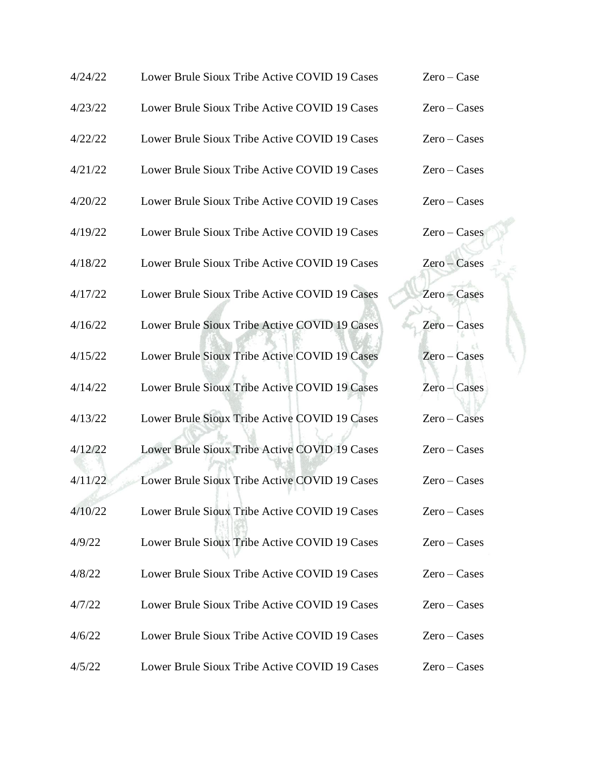| 4/24/22 | Lower Brule Sioux Tribe Active COVID 19 Cases | $Zero - Case$  |
|---------|-----------------------------------------------|----------------|
| 4/23/22 | Lower Brule Sioux Tribe Active COVID 19 Cases | $Zero - Cases$ |
| 4/22/22 | Lower Brule Sioux Tribe Active COVID 19 Cases | $Zero - Cases$ |
| 4/21/22 | Lower Brule Sioux Tribe Active COVID 19 Cases | $Zero - Cases$ |
| 4/20/22 | Lower Brule Sioux Tribe Active COVID 19 Cases | $Zero - Cases$ |
| 4/19/22 | Lower Brule Sioux Tribe Active COVID 19 Cases | $Zero - Cases$ |
| 4/18/22 | Lower Brule Sioux Tribe Active COVID 19 Cases | Zero – Cases   |
| 4/17/22 | Lower Brule Sioux Tribe Active COVID 19 Cases | Zero – Cases   |
| 4/16/22 | Lower Brule Sioux Tribe Active COVID 19 Cases | Zero - Cases   |
| 4/15/22 | Lower Brule Sioux Tribe Active COVID 19 Cases | $Zero - Cases$ |
| 4/14/22 | Lower Brule Sioux Tribe Active COVID 19 Cases | Zero – Cases   |
| 4/13/22 | Lower Brule Sioux Tribe Active COVID 19 Cases | $Zero - Cases$ |
| 4/12/22 | Lower Brule Sioux Tribe Active COVID 19 Cases | $Zero - Cases$ |
| 4/11/22 | Lower Brule Sioux Tribe Active COVID 19 Cases | $Zero - Cases$ |
| 4/10/22 | Lower Brule Sioux Tribe Active COVID 19 Cases | $Zero - Cases$ |
| 4/9/22  | Lower Brule Sioux Tribe Active COVID 19 Cases | $Zero - Cases$ |
| 4/8/22  | Lower Brule Sioux Tribe Active COVID 19 Cases | $Zero - Cases$ |
| 4/7/22  | Lower Brule Sioux Tribe Active COVID 19 Cases | $Zero - Cases$ |
| 4/6/22  | Lower Brule Sioux Tribe Active COVID 19 Cases | $Zero - Cases$ |
| 4/5/22  | Lower Brule Sioux Tribe Active COVID 19 Cases | $Zero - Cases$ |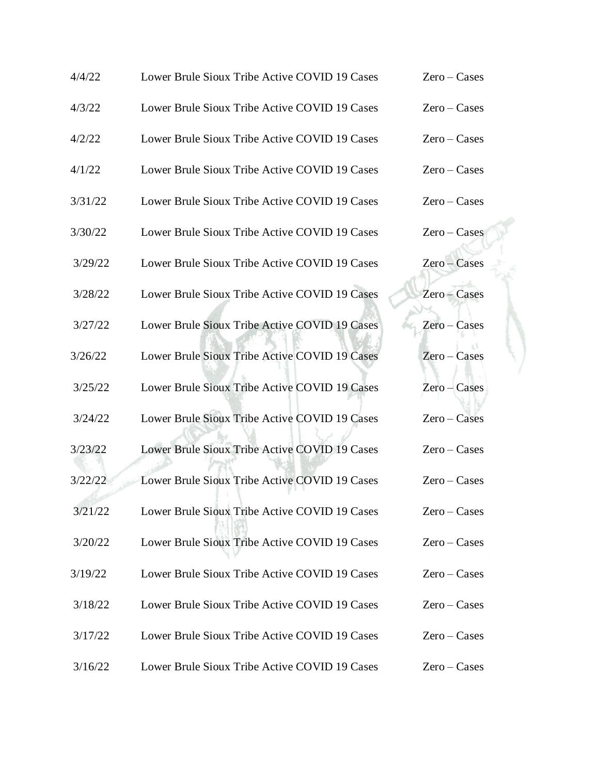| 4/4/22  | Lower Brule Sioux Tribe Active COVID 19 Cases | $Zero - Cases$ |
|---------|-----------------------------------------------|----------------|
| 4/3/22  | Lower Brule Sioux Tribe Active COVID 19 Cases | $Zero - Cases$ |
| 4/2/22  | Lower Brule Sioux Tribe Active COVID 19 Cases | $Zero - Cases$ |
| 4/1/22  | Lower Brule Sioux Tribe Active COVID 19 Cases | $Zero - Cases$ |
| 3/31/22 | Lower Brule Sioux Tribe Active COVID 19 Cases | $Zero - Cases$ |
| 3/30/22 | Lower Brule Sioux Tribe Active COVID 19 Cases | $Zero - Cases$ |
| 3/29/22 | Lower Brule Sioux Tribe Active COVID 19 Cases | Zero – Cases   |
| 3/28/22 | Lower Brule Sioux Tribe Active COVID 19 Cases | Zero - Cases   |
| 3/27/22 | Lower Brule Sioux Tribe Active COVID 19 Cases | $Zero - Cases$ |
| 3/26/22 | Lower Brule Sioux Tribe Active COVID 19 Cases | $Zero - Cases$ |
| 3/25/22 | Lower Brule Sioux Tribe Active COVID 19 Cases | Zero – Cases   |
| 3/24/22 | Lower Brule Sioux Tribe Active COVID 19 Cases | $Zero - Cases$ |
| 3/23/22 | Lower Brule Sioux Tribe Active COVID 19 Cases | $Zero - Cases$ |
| 3/22/22 | Lower Brule Sioux Tribe Active COVID 19 Cases | $Zero - Cases$ |
| 3/21/22 | Lower Brule Sioux Tribe Active COVID 19 Cases | $Zero - Cases$ |
| 3/20/22 | Lower Brule Sioux Tribe Active COVID 19 Cases | $Zero - Cases$ |
| 3/19/22 | Lower Brule Sioux Tribe Active COVID 19 Cases | $Zero - Cases$ |
| 3/18/22 | Lower Brule Sioux Tribe Active COVID 19 Cases | $Zero - Cases$ |
| 3/17/22 | Lower Brule Sioux Tribe Active COVID 19 Cases | $Zero - Cases$ |
| 3/16/22 | Lower Brule Sioux Tribe Active COVID 19 Cases | $Zero - Cases$ |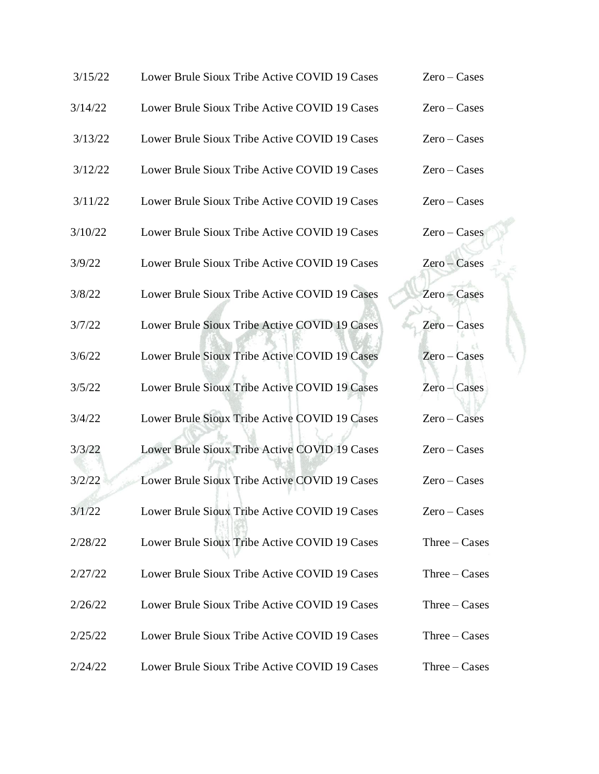| 3/15/22 | Lower Brule Sioux Tribe Active COVID 19 Cases | $Zero - Cases$ |
|---------|-----------------------------------------------|----------------|
| 3/14/22 | Lower Brule Sioux Tribe Active COVID 19 Cases | $Zero - Cases$ |
| 3/13/22 | Lower Brule Sioux Tribe Active COVID 19 Cases | $Zero - Cases$ |
| 3/12/22 | Lower Brule Sioux Tribe Active COVID 19 Cases | $Zero - Cases$ |
| 3/11/22 | Lower Brule Sioux Tribe Active COVID 19 Cases | $Zero - Cases$ |
| 3/10/22 | Lower Brule Sioux Tribe Active COVID 19 Cases | $Zero - Cases$ |
| 3/9/22  | Lower Brule Sioux Tribe Active COVID 19 Cases | Zero – Cases   |
| 3/8/22  | Lower Brule Sioux Tribe Active COVID 19 Cases | Zero - Cases   |
| 3/7/22  | Lower Brule Sioux Tribe Active COVID 19 Cases | Zero - Cases   |
| 3/6/22  | Lower Brule Sioux Tribe Active COVID 19 Cases | $Zero - Cases$ |
| 3/5/22  | Lower Brule Sioux Tribe Active COVID 19 Cases | $Zero - Cases$ |
| 3/4/22  | Lower Brule Sioux Tribe Active COVID 19 Cases | $Zero - Cases$ |
| 3/3/22  | Lower Brule Sioux Tribe Active COVID 19 Cases | $Zero - Cases$ |
| 3/2/22  | Lower Brule Sioux Tribe Active COVID 19 Cases | $Zero - Cases$ |
| 3/1/22  | Lower Brule Sioux Tribe Active COVID 19 Cases | $Zero - Cases$ |
| 2/28/22 | Lower Brule Sioux Tribe Active COVID 19 Cases | $Three-Cases$  |
| 2/27/22 | Lower Brule Sioux Tribe Active COVID 19 Cases | $Three-Cases$  |
| 2/26/22 | Lower Brule Sioux Tribe Active COVID 19 Cases | $Three-Cases$  |
| 2/25/22 | Lower Brule Sioux Tribe Active COVID 19 Cases | $Three-Cases$  |
| 2/24/22 | Lower Brule Sioux Tribe Active COVID 19 Cases | $Three-Cases$  |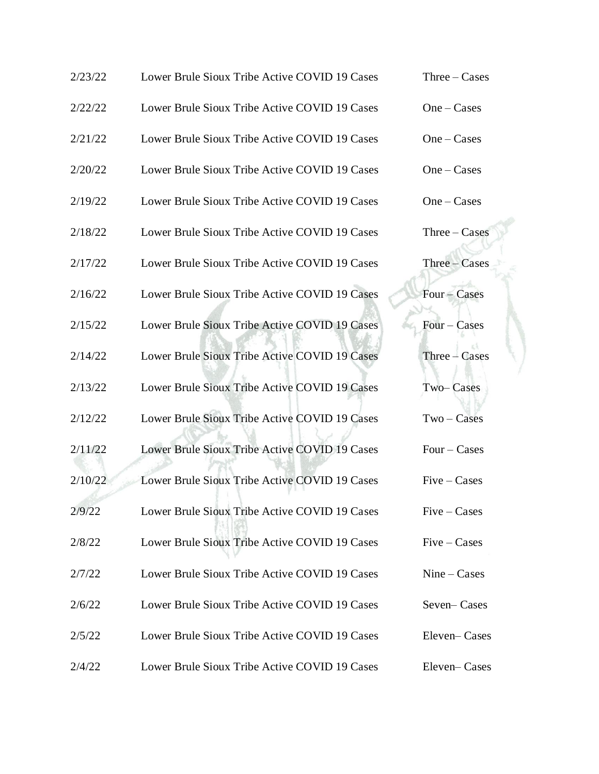| 2/23/22 | Lower Brule Sioux Tribe Active COVID 19 Cases | $Three-Cases$  |
|---------|-----------------------------------------------|----------------|
| 2/22/22 | Lower Brule Sioux Tribe Active COVID 19 Cases | $One-Cases$    |
| 2/21/22 | Lower Brule Sioux Tribe Active COVID 19 Cases | $One-Cases$    |
| 2/20/22 | Lower Brule Sioux Tribe Active COVID 19 Cases | $One-Cases$    |
| 2/19/22 | Lower Brule Sioux Tribe Active COVID 19 Cases | $One-Cases$    |
| 2/18/22 | Lower Brule Sioux Tribe Active COVID 19 Cases | $Three-Cases$  |
| 2/17/22 | Lower Brule Sioux Tribe Active COVID 19 Cases | Three – Cases  |
| 2/16/22 | Lower Brule Sioux Tribe Active COVID 19 Cases | Four - Cases   |
| 2/15/22 | Lower Brule Sioux Tribe Active COVID 19 Cases | $Four-Cases$   |
| 2/14/22 | Lower Brule Sioux Tribe Active COVID 19 Cases | $Three-Cases$  |
| 2/13/22 | Lower Brule Sioux Tribe Active COVID 19 Cases | Two-Cases      |
| 2/12/22 | Lower Brule Sioux Tribe Active COVID 19 Cases | $Two-Cases$    |
| 2/11/22 | Lower Brule Sioux Tribe Active COVID 19 Cases | Four $-$ Cases |
| 2/10/22 | Lower Brule Sioux Tribe Active COVID 19 Cases | $Five-Cases$   |
| 2/9/22  | Lower Brule Sioux Tribe Active COVID 19 Cases | $Five-Cases$   |
| 2/8/22  | Lower Brule Sioux Tribe Active COVID 19 Cases | $Five-Cases$   |
| 2/7/22  | Lower Brule Sioux Tribe Active COVID 19 Cases | $Nine-Cases$   |
| 2/6/22  | Lower Brule Sioux Tribe Active COVID 19 Cases | Seven-Cases    |
| 2/5/22  | Lower Brule Sioux Tribe Active COVID 19 Cases | Eleven-Cases   |
| 2/4/22  | Lower Brule Sioux Tribe Active COVID 19 Cases | Eleven-Cases   |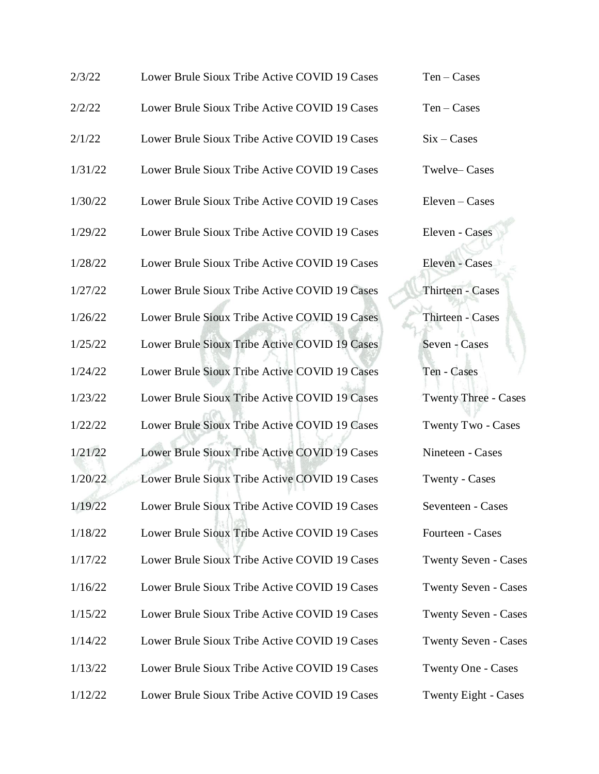| 2/3/22  | Lower Brule Sioux Tribe Active COVID 19 Cases | $Ten - Cases$               |
|---------|-----------------------------------------------|-----------------------------|
| 2/2/22  | Lower Brule Sioux Tribe Active COVID 19 Cases | $Ten - Cases$               |
| 2/1/22  | Lower Brule Sioux Tribe Active COVID 19 Cases | $Six - Cases$               |
| 1/31/22 | Lower Brule Sioux Tribe Active COVID 19 Cases | Twelve-Cases                |
| 1/30/22 | Lower Brule Sioux Tribe Active COVID 19 Cases | $Eleven-Cases$              |
| 1/29/22 | Lower Brule Sioux Tribe Active COVID 19 Cases | Eleven - Cases              |
| 1/28/22 | Lower Brule Sioux Tribe Active COVID 19 Cases | Eleven - Cases              |
| 1/27/22 | Lower Brule Sioux Tribe Active COVID 19 Cases | <b>Thirteen - Cases</b>     |
| 1/26/22 | Lower Brule Sioux Tribe Active COVID 19 Cases | Thirteen - Cases            |
| 1/25/22 | Lower Brule Sioux Tribe Active COVID 19 Cases | Seven - Cases               |
| 1/24/22 | Lower Brule Sioux Tribe Active COVID 19 Cases | Ten - Cases                 |
| 1/23/22 | Lower Brule Sioux Tribe Active COVID 19 Cases | <b>Twenty Three - Cases</b> |
| 1/22/22 | Lower Brule Sioux Tribe Active COVID 19 Cases | Twenty Two - Cases          |
| 1/21/22 | Lower Brule Sioux Tribe Active COVID 19 Cases | Nineteen - Cases            |
| 1/20/22 | Lower Brule Sioux Tribe Active COVID 19 Cases | Twenty - Cases              |
| 1/19/22 | Lower Brule Sioux Tribe Active COVID 19 Cases | Seventeen - Cases           |
| 1/18/22 | Lower Brule Sioux Tribe Active COVID 19 Cases | Fourteen - Cases            |
| 1/17/22 | Lower Brule Sioux Tribe Active COVID 19 Cases | <b>Twenty Seven - Cases</b> |
| 1/16/22 | Lower Brule Sioux Tribe Active COVID 19 Cases | <b>Twenty Seven - Cases</b> |
| 1/15/22 | Lower Brule Sioux Tribe Active COVID 19 Cases | <b>Twenty Seven - Cases</b> |
| 1/14/22 | Lower Brule Sioux Tribe Active COVID 19 Cases | <b>Twenty Seven - Cases</b> |
| 1/13/22 | Lower Brule Sioux Tribe Active COVID 19 Cases | <b>Twenty One - Cases</b>   |
| 1/12/22 | Lower Brule Sioux Tribe Active COVID 19 Cases | Twenty Eight - Cases        |